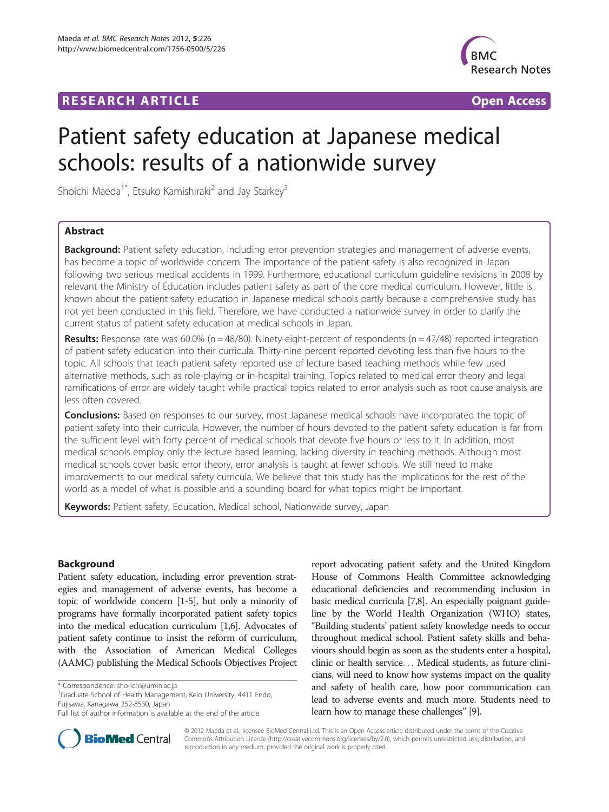# **RESEARCH ARTICLE Example 2014 CONSIDERING A RESEARCH ARTICLE**



# Patient safety education at Japanese medical schools: results of a nationwide survey

Shoichi Maeda<sup>1\*</sup>, Etsuko Kamishiraki<sup>2</sup> and Jay Starkey<sup>3</sup>

# Abstract

Background: Patient safety education, including error prevention strategies and management of adverse events, has become a topic of worldwide concern. The importance of the patient safety is also recognized in Japan following two serious medical accidents in 1999. Furthermore, educational curriculum guideline revisions in 2008 by relevant the Ministry of Education includes patient safety as part of the core medical curriculum. However, little is known about the patient safety education in Japanese medical schools partly because a comprehensive study has not yet been conducted in this field. Therefore, we have conducted a nationwide survey in order to clarify the current status of patient safety education at medical schools in Japan.

Results: Response rate was 60.0% (n = 48/80). Ninety-eight-percent of respondents (n = 47/48) reported integration of patient safety education into their curricula. Thirty-nine percent reported devoting less than five hours to the topic. All schools that teach patient safety reported use of lecture based teaching methods while few used alternative methods, such as role-playing or in-hospital training. Topics related to medical error theory and legal ramifications of error are widely taught while practical topics related to error analysis such as root cause analysis are less often covered.

**Conclusions:** Based on responses to our survey, most Japanese medical schools have incorporated the topic of patient safety into their curricula. However, the number of hours devoted to the patient safety education is far from the sufficient level with forty percent of medical schools that devote five hours or less to it. In addition, most medical schools employ only the lecture based learning, lacking diversity in teaching methods. Although most medical schools cover basic error theory, error analysis is taught at fewer schools. We still need to make improvements to our medical safety curricula. We believe that this study has the implications for the rest of the world as a model of what is possible and a sounding board for what topics might be important.

Keywords: Patient safety, Education, Medical school, Nationwide survey, Japan

# Background

Patient safety education, including error prevention strategies and management of adverse events, has become a topic of worldwide concern [\[1-5\]](#page-6-0), but only a minority of programs have formally incorporated patient safety topics into the medical education curriculum [[1,6](#page-6-0)]. Advocates of patient safety continue to insist the reform of curriculum, with the Association of American Medical Colleges (AAMC) publishing the Medical Schools Objectives Project

<sup>1</sup>Graduate School of Health Management, Keio University, 4411 Endo, Fujisawa, Kanagawa 252-8530, Japan

report advocating patient safety and the United Kingdom House of Commons Health Committee acknowledging educational deficiencies and recommending inclusion in basic medical curricula [\[7,8\]](#page-6-0). An especially poignant guideline by the World Health Organization (WHO) states, "Building students' patient safety knowledge needs to occur throughout medical school. Patient safety skills and behaviours should begin as soon as the students enter a hospital, clinic or health service... Medical students, as future clinicians, will need to know how systems impact on the quality and safety of health care, how poor communication can lead to adverse events and much more. Students need to learn how to manage these challenges" [\[9](#page-6-0)].



© 2012 Maeda et al.; licensee BioMed Central Ltd. This is an Open Access article distributed under the terms of the Creative Commons Attribution License [\(http://creativecommons.org/licenses/by/2.0\)](http://creativecommons.org/licenses/by/2.0), which permits unrestricted use, distribution, and reproduction in any medium, provided the original work is properly cited.

<sup>\*</sup> Correspondence: [sho-ichi@umin.ac.jp](mailto:sho-chi@umin.ac.jp) <sup>1</sup>

Full list of author information is available at the end of the article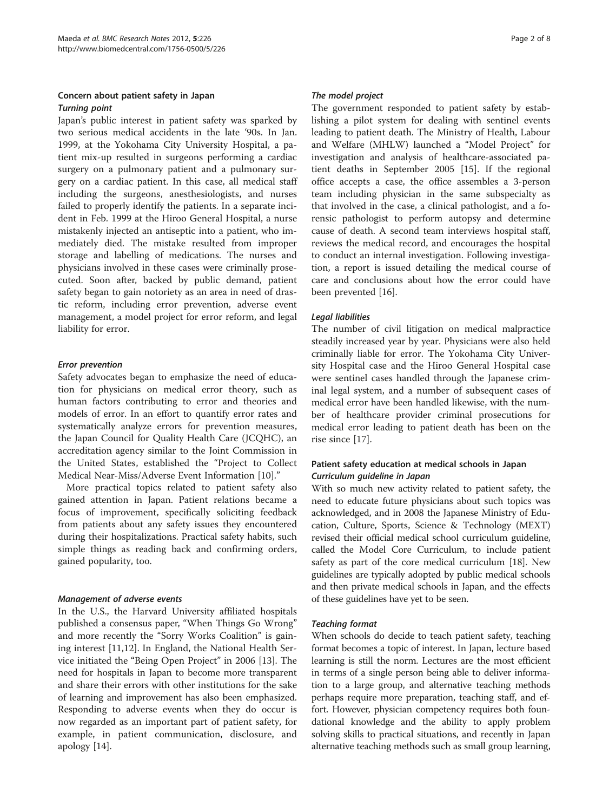# Concern about patient safety in Japan Turning point

Japan's public interest in patient safety was sparked by two serious medical accidents in the late '90s. In Jan. 1999, at the Yokohama City University Hospital, a patient mix-up resulted in surgeons performing a cardiac surgery on a pulmonary patient and a pulmonary surgery on a cardiac patient. In this case, all medical staff including the surgeons, anesthesiologists, and nurses failed to properly identify the patients. In a separate incident in Feb. 1999 at the Hiroo General Hospital, a nurse mistakenly injected an antiseptic into a patient, who immediately died. The mistake resulted from improper storage and labelling of medications. The nurses and physicians involved in these cases were criminally prosecuted. Soon after, backed by public demand, patient safety began to gain notoriety as an area in need of drastic reform, including error prevention, adverse event management, a model project for error reform, and legal liability for error.

# Error prevention

Safety advocates began to emphasize the need of education for physicians on medical error theory, such as human factors contributing to error and theories and models of error. In an effort to quantify error rates and systematically analyze errors for prevention measures, the Japan Council for Quality Health Care (JCQHC), an accreditation agency similar to the Joint Commission in the United States, established the "Project to Collect Medical Near-Miss/Adverse Event Information [\[10](#page-6-0)]."

More practical topics related to patient safety also gained attention in Japan. Patient relations became a focus of improvement, specifically soliciting feedback from patients about any safety issues they encountered during their hospitalizations. Practical safety habits, such simple things as reading back and confirming orders, gained popularity, too.

# Management of adverse events

In the U.S., the Harvard University affiliated hospitals published a consensus paper, "When Things Go Wrong" and more recently the "Sorry Works Coalition" is gaining interest [\[11,12\]](#page-6-0). In England, the National Health Service initiated the "Being Open Project" in 2006 [\[13\]](#page-7-0). The need for hospitals in Japan to become more transparent and share their errors with other institutions for the sake of learning and improvement has also been emphasized. Responding to adverse events when they do occur is now regarded as an important part of patient safety, for example, in patient communication, disclosure, and apology [\[14](#page-7-0)].

# The model project

The government responded to patient safety by establishing a pilot system for dealing with sentinel events leading to patient death. The Ministry of Health, Labour and Welfare (MHLW) launched a "Model Project" for investigation and analysis of healthcare-associated patient deaths in September 2005 [[15\]](#page-7-0). If the regional office accepts a case, the office assembles a 3-person team including physician in the same subspecialty as that involved in the case, a clinical pathologist, and a forensic pathologist to perform autopsy and determine cause of death. A second team interviews hospital staff, reviews the medical record, and encourages the hospital to conduct an internal investigation. Following investigation, a report is issued detailing the medical course of care and conclusions about how the error could have been prevented [[16](#page-7-0)].

# Legal liabilities

The number of civil litigation on medical malpractice steadily increased year by year. Physicians were also held criminally liable for error. The Yokohama City University Hospital case and the Hiroo General Hospital case were sentinel cases handled through the Japanese criminal legal system, and a number of subsequent cases of medical error have been handled likewise, with the number of healthcare provider criminal prosecutions for medical error leading to patient death has been on the rise since [[17\]](#page-7-0).

# Patient safety education at medical schools in Japan Curriculum guideline in Japan

With so much new activity related to patient safety, the need to educate future physicians about such topics was acknowledged, and in 2008 the Japanese Ministry of Education, Culture, Sports, Science & Technology (MEXT) revised their official medical school curriculum guideline, called the Model Core Curriculum, to include patient safety as part of the core medical curriculum [\[18\]](#page-7-0). New guidelines are typically adopted by public medical schools and then private medical schools in Japan, and the effects of these guidelines have yet to be seen.

# Teaching format

When schools do decide to teach patient safety, teaching format becomes a topic of interest. In Japan, lecture based learning is still the norm. Lectures are the most efficient in terms of a single person being able to deliver information to a large group, and alternative teaching methods perhaps require more preparation, teaching staff, and effort. However, physician competency requires both foundational knowledge and the ability to apply problem solving skills to practical situations, and recently in Japan alternative teaching methods such as small group learning,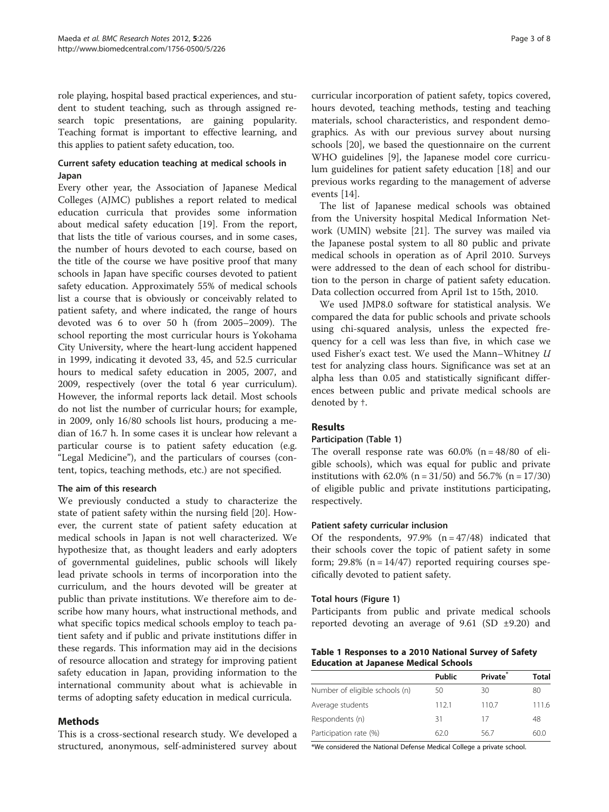role playing, hospital based practical experiences, and student to student teaching, such as through assigned research topic presentations, are gaining popularity. Teaching format is important to effective learning, and this applies to patient safety education, too.

# Current safety education teaching at medical schools in Japan

Every other year, the Association of Japanese Medical Colleges (AJMC) publishes a report related to medical education curricula that provides some information about medical safety education [[19\]](#page-7-0). From the report, that lists the title of various courses, and in some cases, the number of hours devoted to each course, based on the title of the course we have positive proof that many schools in Japan have specific courses devoted to patient safety education. Approximately 55% of medical schools list a course that is obviously or conceivably related to patient safety, and where indicated, the range of hours devoted was 6 to over 50 h (from 2005–2009). The school reporting the most curricular hours is Yokohama City University, where the heart-lung accident happened in 1999, indicating it devoted 33, 45, and 52.5 curricular hours to medical safety education in 2005, 2007, and 2009, respectively (over the total 6 year curriculum). However, the informal reports lack detail. Most schools do not list the number of curricular hours; for example, in 2009, only 16/80 schools list hours, producing a median of 16.7 h. In some cases it is unclear how relevant a particular course is to patient safety education (e.g. "Legal Medicine"), and the particulars of courses (content, topics, teaching methods, etc.) are not specified.

# The aim of this research

We previously conducted a study to characterize the state of patient safety within the nursing field [\[20](#page-7-0)]. However, the current state of patient safety education at medical schools in Japan is not well characterized. We hypothesize that, as thought leaders and early adopters of governmental guidelines, public schools will likely lead private schools in terms of incorporation into the curriculum, and the hours devoted will be greater at public than private institutions. We therefore aim to describe how many hours, what instructional methods, and what specific topics medical schools employ to teach patient safety and if public and private institutions differ in these regards. This information may aid in the decisions of resource allocation and strategy for improving patient safety education in Japan, providing information to the international community about what is achievable in terms of adopting safety education in medical curricula.

# Methods

This is a cross-sectional research study. We developed a structured, anonymous, self-administered survey about

curricular incorporation of patient safety, topics covered, hours devoted, teaching methods, testing and teaching materials, school characteristics, and respondent demographics. As with our previous survey about nursing schools [[20](#page-7-0)], we based the questionnaire on the current WHO guidelines [[9\]](#page-6-0), the Japanese model core curriculum guidelines for patient safety education [\[18](#page-7-0)] and our previous works regarding to the management of adverse events [[14\]](#page-7-0).

The list of Japanese medical schools was obtained from the University hospital Medical Information Network (UMIN) website [\[21](#page-7-0)]. The survey was mailed via the Japanese postal system to all 80 public and private medical schools in operation as of April 2010. Surveys were addressed to the dean of each school for distribution to the person in charge of patient safety education. Data collection occurred from April 1st to 15th, 2010.

We used JMP8.0 software for statistical analysis. We compared the data for public schools and private schools using chi-squared analysis, unless the expected frequency for a cell was less than five, in which case we used Fisher's exact test. We used the Mann–Whitney U test for analyzing class hours. Significance was set at an alpha less than 0.05 and statistically significant differences between public and private medical schools are denoted by †.

# Results

# Participation (Table 1)

The overall response rate was  $60.0\%$  (n =  $48/80$  of eligible schools), which was equal for public and private institutions with  $62.0\%$  (n = 31/50) and 56.7% (n = 17/30) of eligible public and private institutions participating, respectively.

# Patient safety curricular inclusion

Of the respondents,  $97.9\%$  (n = 47/48) indicated that their schools cover the topic of patient safety in some form; 29.8%  $(n = 14/47)$  reported requiring courses specifically devoted to patient safety.

# Total hours (Figure [1\)](#page-3-0)

Participants from public and private medical schools reported devoting an average of 9.61 (SD  $\pm$ 9.20) and

Table 1 Responses to a 2010 National Survey of Safety Education at Japanese Medical Schools

|                                | <b>Public</b> | Private <sup>®</sup> | Total |
|--------------------------------|---------------|----------------------|-------|
| Number of eligible schools (n) | 50            | 30                   | 80    |
| Average students               | 1121          | 110.7                | 111.6 |
| Respondents (n)                | 31            | 17                   | 48    |
| Participation rate (%)         | 62 O          | 56.7                 | 60.0  |

\*We considered the National Defense Medical College a private school.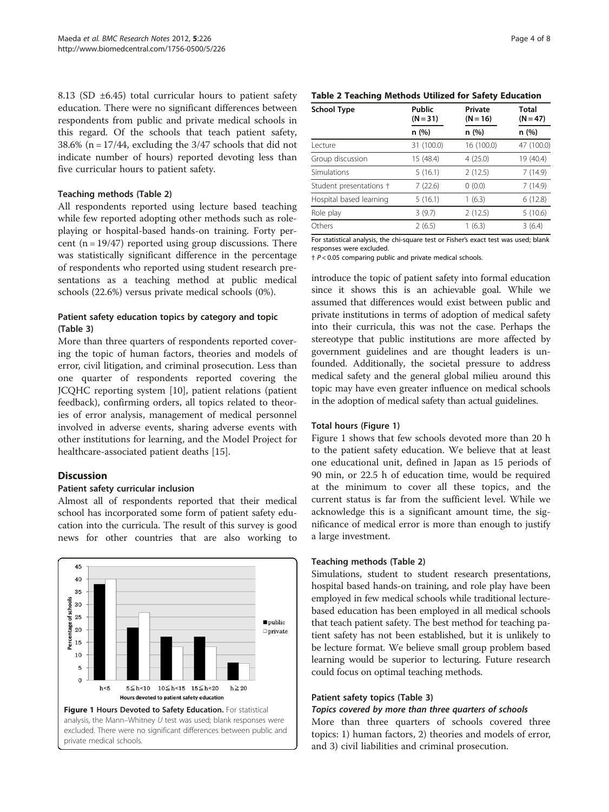<span id="page-3-0"></span>8.13 (SD ±6.45) total curricular hours to patient safety education. There were no significant differences between respondents from public and private medical schools in this regard. Of the schools that teach patient safety, 38.6% ( $n = 17/44$ , excluding the 3/47 schools that did not indicate number of hours) reported devoting less than five curricular hours to patient safety.

#### Teaching methods (Table 2)

All respondents reported using lecture based teaching while few reported adopting other methods such as roleplaying or hospital-based hands-on training. Forty percent  $(n = 19/47)$  reported using group discussions. There was statistically significant difference in the percentage of respondents who reported using student research presentations as a teaching method at public medical schools (22.6%) versus private medical schools (0%).

# Patient safety education topics by category and topic (Table [3\)](#page-4-0)

More than three quarters of respondents reported covering the topic of human factors, theories and models of error, civil litigation, and criminal prosecution. Less than one quarter of respondents reported covering the JCQHC reporting system [[10\]](#page-6-0), patient relations (patient feedback), confirming orders, all topics related to theories of error analysis, management of medical personnel involved in adverse events, sharing adverse events with other institutions for learning, and the Model Project for healthcare-associated patient deaths [\[15](#page-7-0)].

# **Discussion**

# Patient safety curricular inclusion

Almost all of respondents reported that their medical school has incorporated some form of patient safety education into the curricula. The result of this survey is good news for other countries that are also working to



| <b>Table 2 Teaching Methods Utilized for Safety Education</b> |  |  |  |  |
|---------------------------------------------------------------|--|--|--|--|
|---------------------------------------------------------------|--|--|--|--|

| <b>School Type</b>      | Public<br>$(N = 31)$ | Private<br>$(N = 16)$ | Total<br>$(N = 47)$ |  |
|-------------------------|----------------------|-----------------------|---------------------|--|
|                         | n (%)                | n (%)                 | n (%)               |  |
| l ecture                | 31 (100.0)           | 16 (100.0)            | 47 (100.0)          |  |
| Group discussion        | 15 (48.4)            | 4(25.0)               | 19 (40.4)           |  |
| Simulations             | 5(16.1)              | 2(12.5)               | 7(14.9)             |  |
| Student presentations + | 7(22.6)              | 0(0.0)                | 7(14.9)             |  |
| Hospital based learning | 5(16.1)              | 1(6.3)                | 6(12.8)             |  |
| Role play               | 3(9.7)               | 2(12.5)               | 5(10.6)             |  |
| Others                  | 2(6.5)               | 1(6.3)                | 3(6.4)              |  |

For statistical analysis, the chi-square test or Fisher's exact test was used; blank responses were excluded.

 $\uparrow$  P < 0.05 comparing public and private medical schools.

introduce the topic of patient safety into formal education since it shows this is an achievable goal. While we assumed that differences would exist between public and private institutions in terms of adoption of medical safety into their curricula, this was not the case. Perhaps the stereotype that public institutions are more affected by government guidelines and are thought leaders is unfounded. Additionally, the societal pressure to address medical safety and the general global milieu around this topic may have even greater influence on medical schools in the adoption of medical safety than actual guidelines.

#### Total hours (Figure 1)

Figure 1 shows that few schools devoted more than 20 h to the patient safety education. We believe that at least one educational unit, defined in Japan as 15 periods of 90 min, or 22.5 h of education time, would be required at the minimum to cover all these topics, and the current status is far from the sufficient level. While we acknowledge this is a significant amount time, the significance of medical error is more than enough to justify a large investment.

#### Teaching methods (Table 2)

Simulations, student to student research presentations, hospital based hands-on training, and role play have been employed in few medical schools while traditional lecturebased education has been employed in all medical schools that teach patient safety. The best method for teaching patient safety has not been established, but it is unlikely to be lecture format. We believe small group problem based learning would be superior to lecturing. Future research could focus on optimal teaching methods.

#### Patient safety topics (Table [3](#page-4-0))

#### Topics covered by more than three quarters of schools

More than three quarters of schools covered three topics: 1) human factors, 2) theories and models of error, and 3) civil liabilities and criminal prosecution.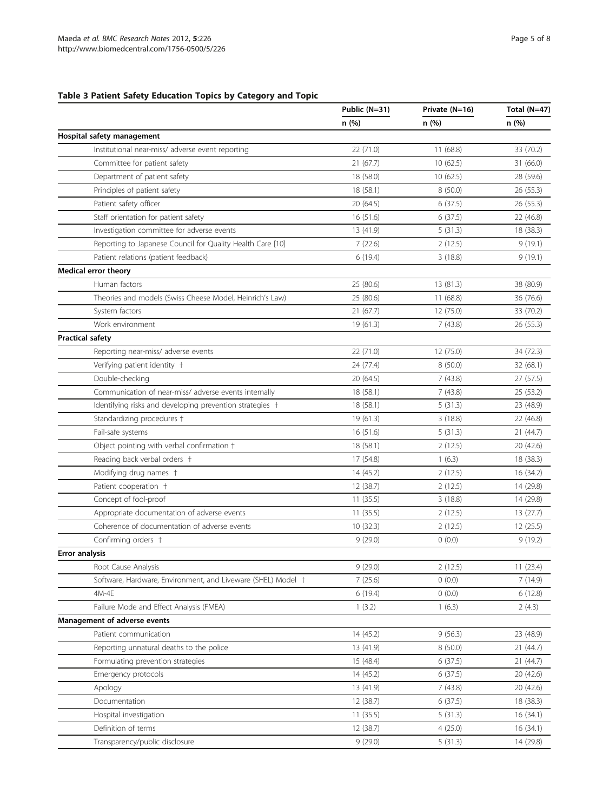# <span id="page-4-0"></span>Table 3 Patient Safety Education Topics by Category and Topic

|                                                              | Public (N=31)<br>n(%) | Private (N=16)<br>n(%) | Total $(N=47)$<br>n (%) |
|--------------------------------------------------------------|-----------------------|------------------------|-------------------------|
|                                                              |                       |                        |                         |
| Hospital safety management                                   |                       |                        |                         |
| Institutional near-miss/ adverse event reporting             | 22 (71.0)             | 11(68.8)               | 33 (70.2)               |
| Committee for patient safety                                 | 21(67.7)              | 10(62.5)               | 31 (66.0)               |
| Department of patient safety                                 | 18 (58.0)             | 10(62.5)               | 28 (59.6)               |
| Principles of patient safety                                 | 18 (58.1)             | 8(50.0)                | 26 (55.3)               |
| Patient safety officer                                       | 20 (64.5)             | 6(37.5)                | 26 (55.3)               |
| Staff orientation for patient safety                         | 16(51.6)              | 6(37.5)                | 22 (46.8)               |
| Investigation committee for adverse events                   | 13 (41.9)             | 5(31.3)                | 18 (38.3)               |
| Reporting to Japanese Council for Quality Health Care [10]   | 7(22.6)               | 2(12.5)                | 9(19.1)                 |
| Patient relations (patient feedback)                         | 6 (19.4)              | 3(18.8)                | 9(19.1)                 |
| Medical error theory                                         |                       |                        |                         |
| Human factors                                                | 25 (80.6)             | 13 (81.3)              | 38 (80.9)               |
| Theories and models (Swiss Cheese Model, Heinrich's Law)     | 25 (80.6)             | 11(68.8)               | 36 (76.6)               |
| System factors                                               | 21(67.7)              | 12 (75.0)              | 33 (70.2)               |
| Work environment                                             | 19 (61.3)             | 7(43.8)                | 26 (55.3)               |
| <b>Practical safety</b>                                      |                       |                        |                         |
| Reporting near-miss/ adverse events                          | 22 (71.0)             | 12 (75.0)              | 34 (72.3)               |
| Verifying patient identity +                                 | 24 (77.4)             | 8(50.0)                | 32(68.1)                |
| Double-checking                                              | 20 (64.5)             | 7(43.8)                | 27 (57.5)               |
| Communication of near-miss/ adverse events internally        | 18 (58.1)             | 7(43.8)                | 25 (53.2)               |
| Identifying risks and developing prevention strategies +     | 18 (58.1)             | 5(31.3)                | 23 (48.9)               |
| Standardizing procedures +                                   | 19 (61.3)             | 3(18.8)                | 22 (46.8)               |
| Fail-safe systems                                            | 16(51.6)              | 5(31.3)                | 21 (44.7)               |
| Object pointing with verbal confirmation +                   | 18 (58.1)             | 2(12.5)                | 20 (42.6)               |
| Reading back verbal orders +                                 | 17 (54.8)             | 1(6.3)                 | 18 (38.3)               |
| Modifying drug names +                                       | 14 (45.2)             | 2(12.5)                | 16 (34.2)               |
| Patient cooperation +                                        | 12 (38.7)             | 2(12.5)                | 14 (29.8)               |
| Concept of fool-proof                                        | 11(35.5)              | 3(18.8)                | 14 (29.8)               |
| Appropriate documentation of adverse events                  | 11(35.5)              | 2(12.5)                | 13(27.7)                |
| Coherence of documentation of adverse events                 | 10(32.3)              | 2(12.5)                | 12 (25.5)               |
| Confirming orders +                                          | 9(29.0)               | 0(0.0)                 | 9(19.2)                 |
| Error analysis                                               |                       |                        |                         |
| Root Cause Analysis                                          | 9(29.0)               | 2(12.5)                | 11(23.4)                |
| Software, Hardware, Environment, and Liveware (SHEL) Model † | 7(25.6)               | 0(0.0)                 | 7(14.9)                 |
| 4M-4E                                                        | 6(19.4)               | 0(0.0)                 | 6(12.8)                 |
| Failure Mode and Effect Analysis (FMEA)                      | 1(3.2)                | 1(6.3)                 | 2(4.3)                  |
| Management of adverse events                                 |                       |                        |                         |
| Patient communication                                        | 14 (45.2)             | 9(56.3)                | 23 (48.9)               |
| Reporting unnatural deaths to the police                     | 13 (41.9)             | 8(50.0)                | 21(44.7)                |
| Formulating prevention strategies                            | 15 (48.4)             | 6(37.5)                | 21 (44.7)               |
| Emergency protocols                                          | 14 (45.2)             | 6(37.5)                | 20 (42.6)               |
| Apology                                                      | 13 (41.9)             | 7(43.8)                | 20 (42.6)               |
| Documentation                                                | 12 (38.7)             | 6(37.5)                | 18 (38.3)               |
| Hospital investigation                                       | 11(35.5)              | 5(31.3)                | 16(34.1)                |
| Definition of terms                                          | 12 (38.7)             | 4 (25.0)               | 16 (34.1)               |
| Transparency/public disclosure                               | 9(29.0)               | 5(31.3)                | 14 (29.8)               |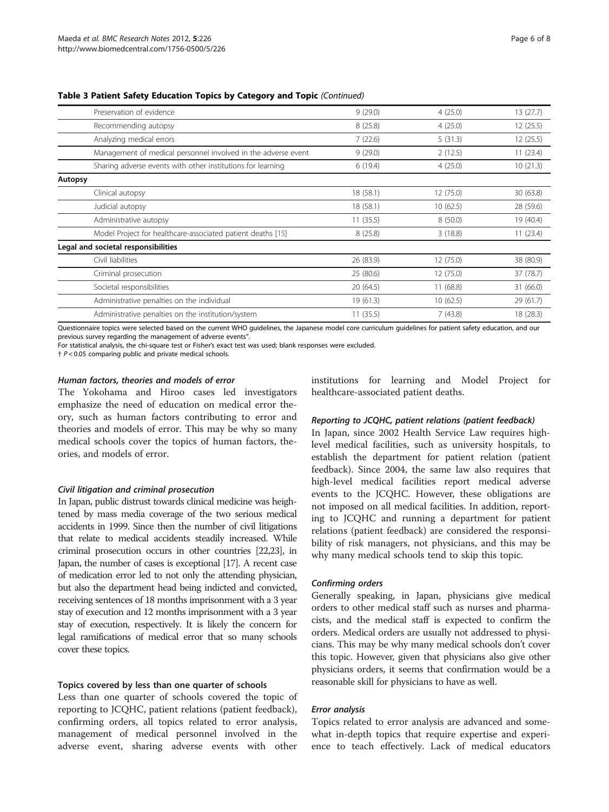| Preservation of evidence                                      | 9(29.0)   | 4(25.0)   | 13(27.7)  |
|---------------------------------------------------------------|-----------|-----------|-----------|
| Recommending autopsy                                          | 8(25.8)   | 4(25.0)   | 12(25.5)  |
| Analyzing medical errors                                      | 7(22.6)   | 5(31.3)   | 12(25.5)  |
| Management of medical personnel involved in the adverse event | 9(29.0)   | 2(12.5)   | 11(23.4)  |
| Sharing adverse events with other institutions for learning   | 6(19.4)   | 4(25.0)   | 10(21.3)  |
| Autopsy                                                       |           |           |           |
| Clinical autopsy                                              | 18(58.1)  | 12 (75.0) | 30(63.8)  |
| Judicial autopsy                                              | 18(58.1)  | 10(62.5)  | 28 (59.6) |
| Administrative autopsy                                        | 11(35.5)  | 8(50.0)   | 19 (40.4) |
| Model Project for healthcare-associated patient deaths [15]   | 8(25.8)   | 3(18.8)   | 11(23.4)  |
| Legal and societal responsibilities                           |           |           |           |
| Civil liabilities                                             | 26 (83.9) | 12 (75.0) | 38 (80.9) |
| Criminal prosecution                                          | 25 (80.6) | 12 (75.0) | 37 (78.7) |
| Societal responsibilities                                     | 20(64.5)  | 11(68.8)  | 31(66.0)  |
| Administrative penalties on the individual                    | 19(61.3)  | 10(62.5)  | 29 (61.7) |
| Administrative penalties on the institution/system            | 11(35.5)  | 7(43.8)   | 18(28.3)  |

#### Table 3 Patient Safety Education Topics by Category and Topic (Continued)

Questionnaire topics were selected based on the current WHO guidelines, the Japanese model core curriculum guidelines for patient safety education, and our previous survey regarding the management of adverse events".

For statistical analysis, the chi-square test or Fisher's exact test was used; blank responses were excluded.

 $\dagger$  P < 0.05 comparing public and private medical schools.

#### Human factors, theories and models of error

The Yokohama and Hiroo cases led investigators emphasize the need of education on medical error theory, such as human factors contributing to error and theories and models of error. This may be why so many medical schools cover the topics of human factors, theories, and models of error.

#### Civil litigation and criminal prosecution

In Japan, public distrust towards clinical medicine was heightened by mass media coverage of the two serious medical accidents in 1999. Since then the number of civil litigations that relate to medical accidents steadily increased. While criminal prosecution occurs in other countries [\[22,23](#page-7-0)], in Japan, the number of cases is exceptional [\[17](#page-7-0)]. A recent case of medication error led to not only the attending physician, but also the department head being indicted and convicted, receiving sentences of 18 months imprisonment with a 3 year stay of execution and 12 months imprisonment with a 3 year stay of execution, respectively. It is likely the concern for legal ramifications of medical error that so many schools cover these topics.

#### Topics covered by less than one quarter of schools

Less than one quarter of schools covered the topic of reporting to JCQHC, patient relations (patient feedback), confirming orders, all topics related to error analysis, management of medical personnel involved in the adverse event, sharing adverse events with other

institutions for learning and Model Project for healthcare-associated patient deaths.

#### Reporting to JCQHC, patient relations (patient feedback)

In Japan, since 2002 Health Service Law requires highlevel medical facilities, such as university hospitals, to establish the department for patient relation (patient feedback). Since 2004, the same law also requires that high-level medical facilities report medical adverse events to the JCQHC. However, these obligations are not imposed on all medical facilities. In addition, reporting to JCQHC and running a department for patient relations (patient feedback) are considered the responsibility of risk managers, not physicians, and this may be why many medical schools tend to skip this topic.

#### Confirming orders

Generally speaking, in Japan, physicians give medical orders to other medical staff such as nurses and pharmacists, and the medical staff is expected to confirm the orders. Medical orders are usually not addressed to physicians. This may be why many medical schools don't cover this topic. However, given that physicians also give other physicians orders, it seems that confirmation would be a reasonable skill for physicians to have as well.

#### Error analysis

Topics related to error analysis are advanced and somewhat in-depth topics that require expertise and experience to teach effectively. Lack of medical educators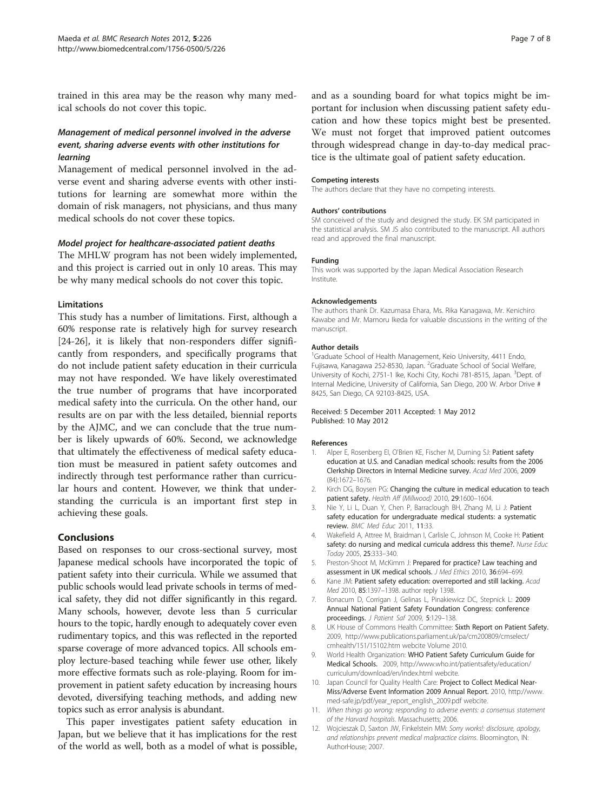<span id="page-6-0"></span>trained in this area may be the reason why many medical schools do not cover this topic.

# Management of medical personnel involved in the adverse event, sharing adverse events with other institutions for learning

Management of medical personnel involved in the adverse event and sharing adverse events with other institutions for learning are somewhat more within the domain of risk managers, not physicians, and thus many medical schools do not cover these topics.

#### Model project for healthcare-associated patient deaths

The MHLW program has not been widely implemented, and this project is carried out in only 10 areas. This may be why many medical schools do not cover this topic.

#### **Limitations**

This study has a number of limitations. First, although a 60% response rate is relatively high for survey research [[24-26](#page-7-0)], it is likely that non-responders differ significantly from responders, and specifically programs that do not include patient safety education in their curricula may not have responded. We have likely overestimated the true number of programs that have incorporated medical safety into the curricula. On the other hand, our results are on par with the less detailed, biennial reports by the AJMC, and we can conclude that the true number is likely upwards of 60%. Second, we acknowledge that ultimately the effectiveness of medical safety education must be measured in patient safety outcomes and indirectly through test performance rather than curricular hours and content. However, we think that understanding the curricula is an important first step in achieving these goals.

#### Conclusions

Based on responses to our cross-sectional survey, most Japanese medical schools have incorporated the topic of patient safety into their curricula. While we assumed that public schools would lead private schools in terms of medical safety, they did not differ significantly in this regard. Many schools, however, devote less than 5 curricular hours to the topic, hardly enough to adequately cover even rudimentary topics, and this was reflected in the reported sparse coverage of more advanced topics. All schools employ lecture-based teaching while fewer use other, likely more effective formats such as role-playing. Room for improvement in patient safety education by increasing hours devoted, diversifying teaching methods, and adding new topics such as error analysis is abundant.

This paper investigates patient safety education in Japan, but we believe that it has implications for the rest of the world as well, both as a model of what is possible, and as a sounding board for what topics might be important for inclusion when discussing patient safety education and how these topics might best be presented. We must not forget that improved patient outcomes through widespread change in day-to-day medical practice is the ultimate goal of patient safety education.

#### Competing interests

The authors declare that they have no competing interests.

#### Authors' contributions

SM conceived of the study and designed the study. EK SM participated in the statistical analysis. SM JS also contributed to the manuscript. All authors read and approved the final manuscript.

#### Funding

This work was supported by the Japan Medical Association Research Institute.

#### Acknowledgements

The authors thank Dr. Kazumasa Ehara, Ms. Rika Kanagawa, Mr. Kenichiro Kawabe and Mr. Mamoru Ikeda for valuable discussions in the writing of the manuscript.

#### Author details

<sup>1</sup>Graduate School of Health Management, Keio University, 4411 Endo, Fujisawa, Kanagawa 252-8530, Japan. <sup>2</sup>Graduate School of Social Welfare, University of Kochi, 2751-1 Ike, Kochi City, Kochi 781-8515, Japan. <sup>3</sup>Dept. of Internal Medicine, University of California, San Diego, 200 W. Arbor Drive # 8425, San Diego, CA 92103-8425, USA.

#### Received: 5 December 2011 Accepted: 1 May 2012 Published: 10 May 2012

#### References

- Alper E, Rosenberg EI, O'Brien KE, Fischer M, Durning SJ: Patient safety education at U.S. and Canadian medical schools: results from the 2006 Clerkship Directors in Internal Medicine survey. Acad Med 2006, 2009 (84):1672–1676.
- 2. Kirch DG, Boysen PG: Changing the culture in medical education to teach patient safety. Health Aff (Millwood) 2010, 29:1600–1604.
- 3. Nie Y, Li L, Duan Y, Chen P, Barraclough BH, Zhang M, Li J: Patient safety education for undergraduate medical students: a systematic review. BMC Med Educ 2011, 11:33.
- 4. Wakefield A, Attree M, Braidman I, Carlisle C, Johnson M, Cooke H: Patient safety: do nursing and medical curricula address this theme?. Nurse Educ Today 2005, 25:333–340.
- 5. Preston-Shoot M, McKimm J: Prepared for practice? Law teaching and assessment in UK medical schools. J Med Ethics 2010, 36:694–699.
- 6. Kane JM: Patient safety education: overreported and still lacking. Acad Med 2010, 85:1397–1398. author reply 1398.
- 7. Bonacum D, Corrigan J, Gelinas L, Pinakiewicz DC, Stepnick L: 2009 Annual National Patient Safety Foundation Congress: conference proceedings. J Patient Saf 2009, 5:129–138.
- 8. UK House of Commons Health Committee: Sixth Report on Patient Safety. 2009, [http://www.publications.parliament.uk/pa/cm200809/cmselect/](http://www.publications.parliament.uk/pa/cm200809/cmselect/cmhealth/151/15102.htm) [cmhealth/151/15102.htm](http://www.publications.parliament.uk/pa/cm200809/cmselect/cmhealth/151/15102.htm) webcite Volume 2010.
- 9. World Health Organization: WHO Patient Safety Curriculum Guide for Medical Schools. 2009, http://www.who.int/patientsafety/education/ curriculum/download/en/index.html webcite.
- 10. Japan Council for Quality Health Care: Project to Collect Medical Near-Miss/Adverse Event Information 2009 Annual Report. 2010, [http://www.](http://www.med-safe.jp/pdf/year_report_english_2009.pdf) [med-safe.jp/pdf/year\\_report\\_english\\_2009.pdf](http://www.med-safe.jp/pdf/year_report_english_2009.pdf) webcite.
- 11. When things go wrong: responding to adverse events: a consensus statement of the Harvard hospitals. Massachusetts; 2006.
- 12. Wojcieszak D, Saxton JW, Finkelstein MM: Sorry works!: disclosure, apology, and relationships prevent medical malpractice claims. Bloomington, IN: AuthorHouse; 2007.